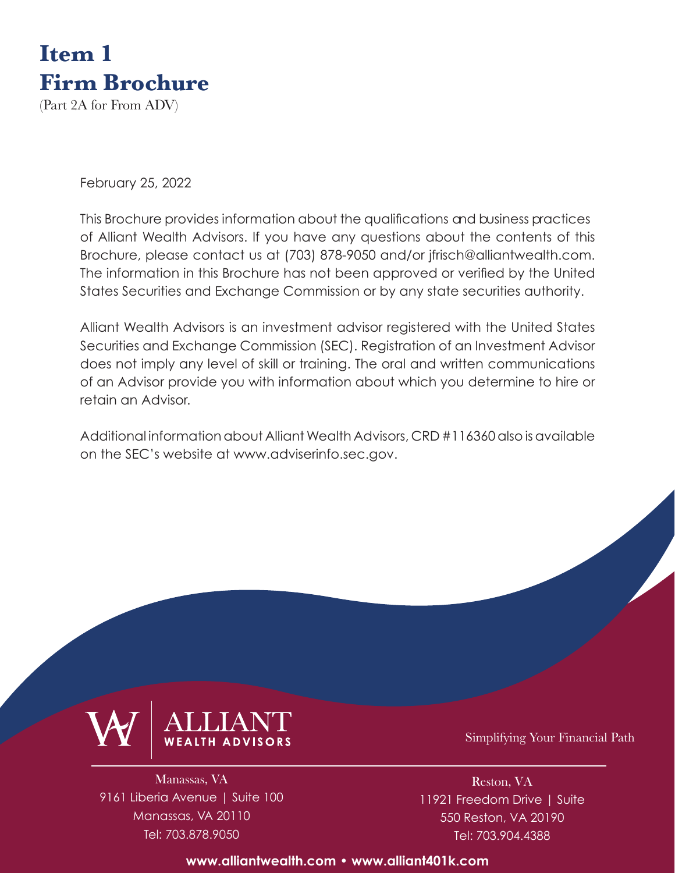

(Part 2A for From ADV)

February 25, 2022

This Brochure provides information about the qualifications and business practices of Alliant Wealth Advisors. If you have any questions about the contents of this Brochure, please contact us at (703) 878-9050 and/or jfrisch@alliantwealth.com. The information in this Brochure has not been approved or verified by the United States Securities and Exchange Commission or by any state securities authority.

Alliant Wealth Advisors is an investment advisor registered with the United States Securities and Exchange Commission (SEC). Registration of an Investment Advisor does not imply any level of skill or training. The oral and written communications of an Advisor provide you with information about which you determine to hire or retain an Advisor.

Additional information about [Alliant Wealth Advisors, CRD #116360](https://adviserinfo.sec.gov/firm/summary/116360) also is available on the SEC's website at <www.adviserinfo.sec.gov>.



Manassas, VA 9161 Liberia Avenue | Suite 100 Manassas, VA 20110 Tel: 703.878.9050

Simplifying Your Financial Path

Reston, VA 11921 Freedom Drive | Suite 550 Reston, VA 20190 Tel: 703.904.4388

**[www.alliantwealth.com •](https://www.alliantwealth.com) [www.alliant401k.com](https://www.alliant401k.com)**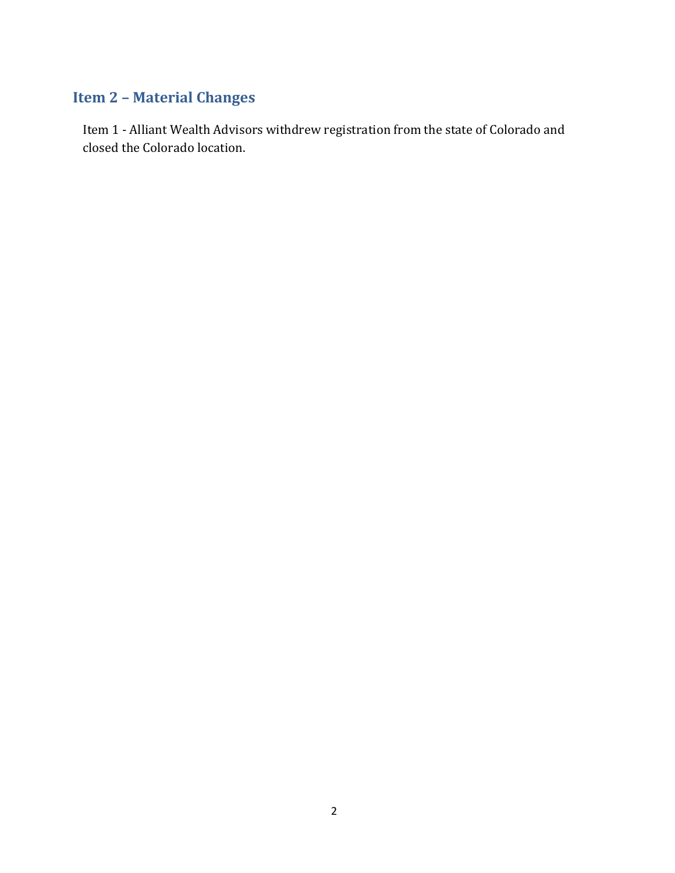# <span id="page-1-0"></span>**Item 2 – Material Changes**

Item 1 - Alliant Wealth Advisors withdrew registration from the state of Colorado and closed the Colorado location.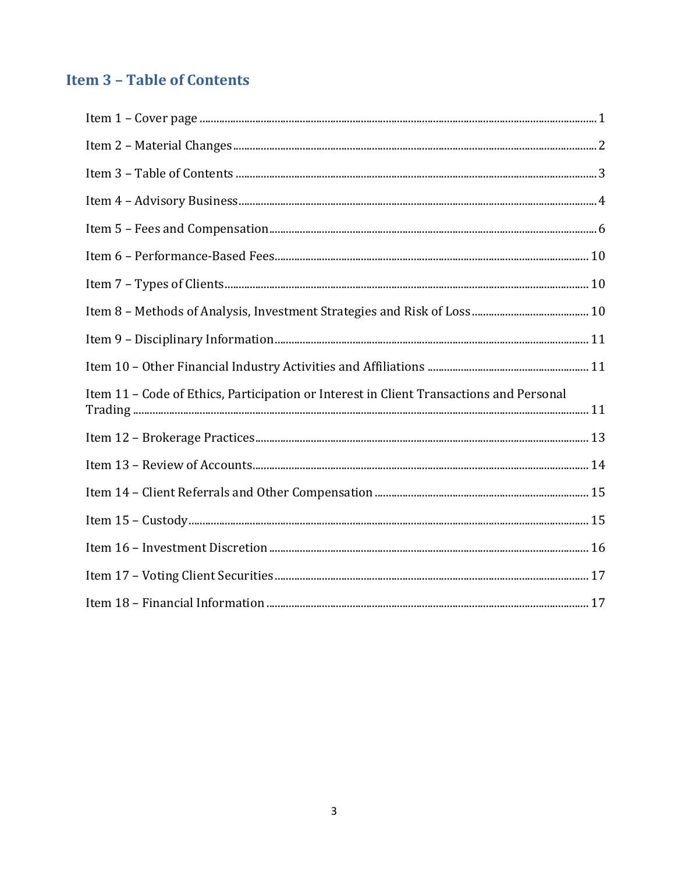# <span id="page-2-0"></span>**Item 3 - Table of Contents**

| Item 11 - Code of Ethics, Participation or Interest in Client Transactions and Personal |  |
|-----------------------------------------------------------------------------------------|--|
|                                                                                         |  |
|                                                                                         |  |
|                                                                                         |  |
|                                                                                         |  |
|                                                                                         |  |
|                                                                                         |  |
|                                                                                         |  |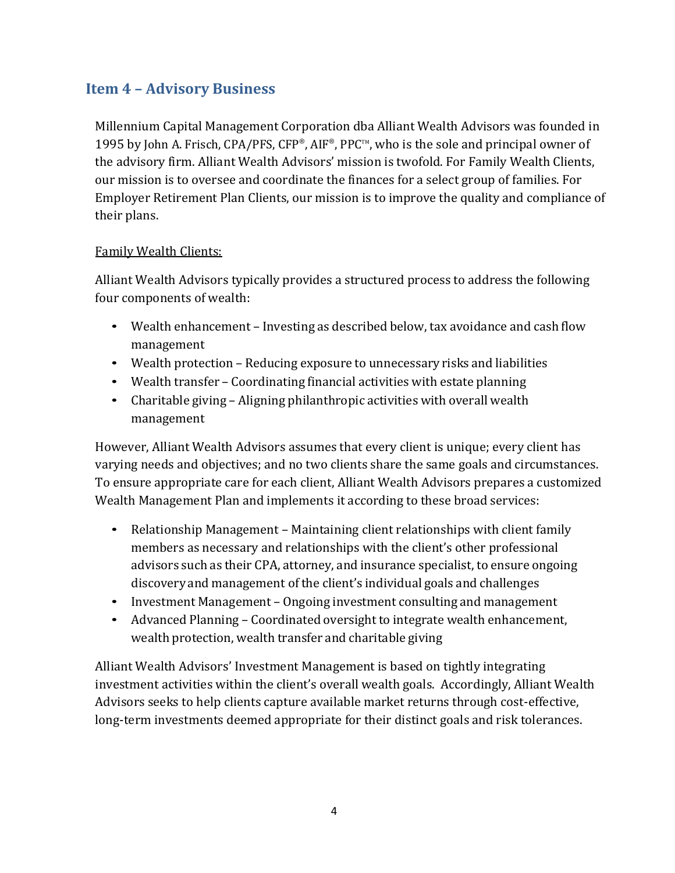# <span id="page-3-0"></span>**Item 4 – Advisory Business**

Millennium Capital Management Corporation dba Alliant Wealth Advisors was founded in 1995 by John A. Frisch, CPA/PFS, CFP®, AIF®, PPC™, who is the sole and principal owner of the advisory firm. Alliant Wealth Advisors' mission is twofold. For Family Wealth Clients, our mission is to oversee and coordinate the finances for a select group of families. For Employer Retirement Plan Clients, our mission is to improve the quality and compliance of their plans.

#### Family Wealth Clients:

Alliant Wealth Advisors typically provides a structured process to address the following four components of wealth:

- Wealth enhancement Investing as described below, tax avoidance and cash flow management
- Wealth protection Reducing exposure to unnecessary risks and liabilities
- Wealth transfer Coordinating financial activities with estate planning
- Charitable giving Aligning philanthropic activities with overall wealth management

However, Alliant Wealth Advisors assumes that every client is unique; every client has varying needs and objectives; and no two clients share the same goals and circumstances. To ensure appropriate care for each client, Alliant Wealth Advisors prepares a customized Wealth Management Plan and implements it according to these broad services:

- Relationship Management Maintaining client relationships with client family members as necessary and relationships with the client's other professional advisors such as their CPA, attorney, and insurance specialist, to ensure ongoing discovery and management of the client's individual goals and challenges
- Investment Management Ongoing investment consulting and management
- Advanced Planning Coordinated oversight to integrate wealth enhancement, wealth protection, wealth transfer and charitable giving

Alliant Wealth Advisors' Investment Management is based on tightly integrating investment activities within the client's overall wealth goals. Accordingly, Alliant Wealth Advisors seeks to help clients capture available market returns through cost-effective, long-term investments deemed appropriate for their distinct goals and risk tolerances.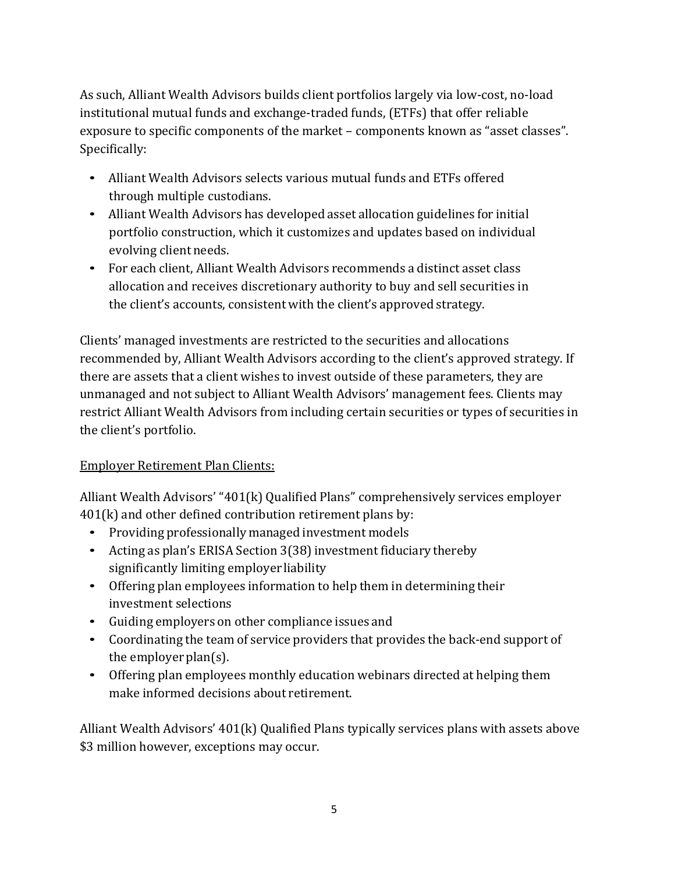As such, Alliant Wealth Advisors builds client portfolios largely via low-cost, no-load institutional mutual funds and exchange-traded funds, (ETFs) that offer reliable exposure to specific components of the market – components known as "asset classes". Specifically:

- Alliant Wealth Advisors selects various mutual funds and ETFs offered through multiple custodians.
- Alliant Wealth Advisors has developed asset allocation guidelines for initial portfolio construction, which it customizes and updates based on individual evolving client needs.
- For each client, Alliant Wealth Advisors recommends a distinct asset class allocation and receives discretionary authority to buy and sell securities in the client's accounts, consistent with the client's approved strategy.

Clients' managed investments are restricted to the securities and allocations recommended by, Alliant Wealth Advisors according to the client's approved strategy. If there are assets that a client wishes to invest outside of these parameters, they are unmanaged and not subject to Alliant Wealth Advisors' management fees. Clients may restrict Alliant Wealth Advisors from including certain securities or types of securities in the client's portfolio.

### Employer Retirement Plan Clients:

Alliant Wealth Advisors' "401(k) Qualified Plans" comprehensively services employer 401(k) and other defined contribution retirement plans by:

- Providing professionally managed investment models
- Acting as plan's ERISA Section 3(38) investment fiduciary thereby significantly limiting employer liability
- Offering plan employees information to help them in determining their investment selections
- Guiding employers on other compliance issues and
- Coordinating the team of service providers that provides the back-end support of the employer plan(s).
- Offering plan employees monthly education webinars directed at helping them make informed decisions about retirement.

Alliant Wealth Advisors' 401(k) Qualified Plans typically services plans with assets above \$3 million however, exceptions may occur.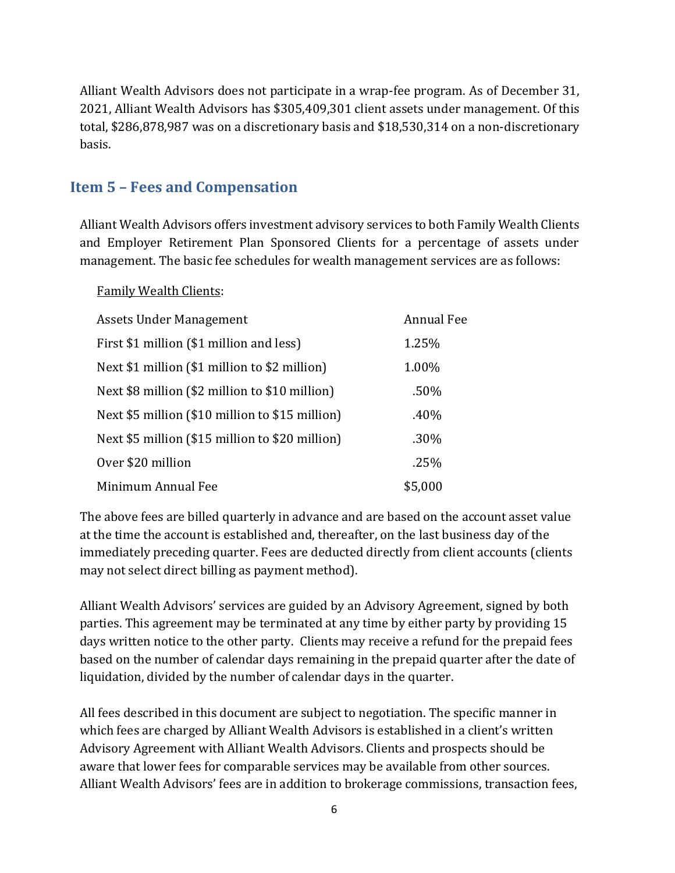Alliant Wealth Advisors does not participate in a wrap-fee program. As of December 31, 2021, Alliant Wealth Advisors has \$305,409,301 client assets under management. Of this total, \$286,878,987 was on a discretionary basis and \$18,530,314 on a non-discretionary basis.

### <span id="page-5-0"></span>**Item 5 – Fees and Compensation**

Alliant Wealth Advisors offers investment advisory services to both Family Wealth Clients and Employer Retirement Plan Sponsored Clients for a percentage of assets under management. The basic fee schedules for wealth management services are as follows:

#### Family Wealth Clients:

| Assets Under Management                         | <b>Annual Fee</b> |
|-------------------------------------------------|-------------------|
| First \$1 million (\$1 million and less)        | 1.25%             |
| Next \$1 million (\$1 million to \$2 million)   | 1.00%             |
| Next \$8 million (\$2 million to \$10 million)  | .50%              |
| Next \$5 million (\$10 million to \$15 million) | .40%              |
| Next \$5 million (\$15 million to \$20 million) | .30%              |
| Over \$20 million                               | .25%              |
| Minimum Annual Fee                              | \$5,000           |

The above fees are billed quarterly in advance and are based on the account asset value at the time the account is established and, thereafter, on the last business day of the immediately preceding quarter. Fees are deducted directly from client accounts (clients may not select direct billing as payment method).

Alliant Wealth Advisors' services are guided by an Advisory Agreement, signed by both parties. This agreement may be terminated at any time by either party by providing 15 days written notice to the other party. Clients may receive a refund for the prepaid fees based on the number of calendar days remaining in the prepaid quarter after the date of liquidation, divided by the number of calendar days in the quarter.

All fees described in this document are subject to negotiation. The specific manner in which fees are charged by Alliant Wealth Advisors is established in a client's written Advisory Agreement with Alliant Wealth Advisors. Clients and prospects should be aware that lower fees for comparable services may be available from other sources. Alliant Wealth Advisors' fees are in addition to brokerage commissions, transaction fees,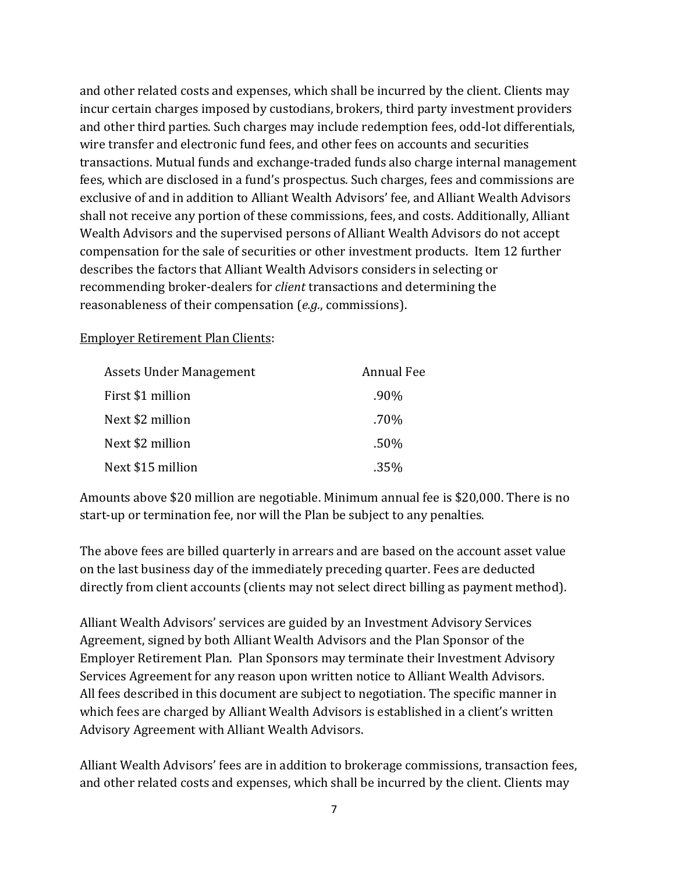and other related costs and expenses, which shall be incurred by the client. Clients may incur certain charges imposed by custodians, brokers, third party investment providers and other third parties. Such charges may include redemption fees, odd-lot differentials, wire transfer and electronic fund fees, and other fees on accounts and securities transactions. Mutual funds and exchange-traded funds also charge internal management fees, which are disclosed in a fund's prospectus. Such charges, fees and commissions are exclusive of and in addition to Alliant Wealth Advisors' fee, and Alliant Wealth Advisors shall not receive any portion of these commissions, fees, and costs. Additionally, Alliant Wealth Advisors and the supervised persons of Alliant Wealth Advisors do not accept compensation for the sale of securities or other investment products. Item 12 further describes the factors that Alliant Wealth Advisors considers in selecting or recommending broker-dealers for *client* transactions and determining the reasonableness of their compensation (*e.g.*, commissions).

#### Employer Retirement Plan Clients:

| Assets Under Management | <b>Annual Fee</b> |
|-------------------------|-------------------|
| First \$1 million       | .90%              |
| Next \$2 million        | .70%              |
| Next \$2 million        | .50%              |
| Next \$15 million       | .35%              |

Amounts above \$20 million are negotiable. Minimum annual fee is \$20,000. There is no start-up or termination fee, nor will the Plan be subject to any penalties.

The above fees are billed quarterly in arrears and are based on the account asset value on the last business day of the immediately preceding quarter. Fees are deducted directly from client accounts (clients may not select direct billing as payment method).

Alliant Wealth Advisors' services are guided by an Investment Advisory Services Agreement, signed by both Alliant Wealth Advisors and the Plan Sponsor of the Employer Retirement Plan. Plan Sponsors may terminate their Investment Advisory Services Agreement for any reason upon written notice to Alliant Wealth Advisors. All fees described in this document are subject to negotiation. The specific manner in which fees are charged by Alliant Wealth Advisors is established in a client's written Advisory Agreement with Alliant Wealth Advisors.

Alliant Wealth Advisors' fees are in addition to brokerage commissions, transaction fees, and other related costs and expenses, which shall be incurred by the client. Clients may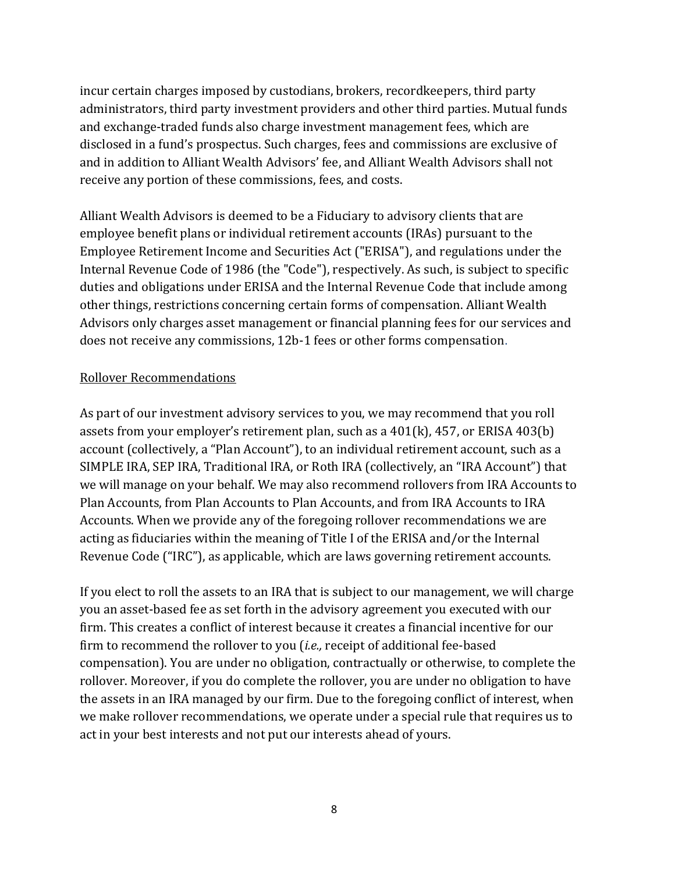incur certain charges imposed by custodians, brokers, recordkeepers, third party administrators, third party investment providers and other third parties. Mutual funds and exchange-traded funds also charge investment management fees, which are disclosed in a fund's prospectus. Such charges, fees and commissions are exclusive of and in addition to Alliant Wealth Advisors' fee, and Alliant Wealth Advisors shall not receive any portion of these commissions, fees, and costs.

Alliant Wealth Advisors is deemed to be a Fiduciary to advisory clients that are employee benefit plans or individual retirement accounts (IRAs) pursuant to the Employee Retirement Income and Securities Act ("ERISA"), and regulations under the Internal Revenue Code of 1986 (the "Code"), respectively. As such, is subject to specific duties and obligations under ERISA and the Internal Revenue Code that include among other things, restrictions concerning certain forms of compensation. Alliant Wealth Advisors only charges asset management or financial planning fees for our services and does not receive any commissions, 12b-1 fees or other forms compensation.

#### Rollover Recommendations

As part of our investment advisory services to you, we may recommend that you roll assets from your employer's retirement plan, such as a 401(k), 457, or ERISA 403(b) account (collectively, a "Plan Account"), to an individual retirement account, such as a SIMPLE IRA, SEP IRA, Traditional IRA, or Roth IRA (collectively, an "IRA Account") that we will manage on your behalf. We may also recommend rollovers from IRA Accounts to Plan Accounts, from Plan Accounts to Plan Accounts, and from IRA Accounts to IRA Accounts. When we provide any of the foregoing rollover recommendations we are acting as fiduciaries within the meaning of Title I of the ERISA and/or the Internal Revenue Code ("IRC"), as applicable, which are laws governing retirement accounts.

If you elect to roll the assets to an IRA that is subject to our management, we will charge you an asset-based fee as set forth in the advisory agreement you executed with our firm. This creates a conflict of interest because it creates a financial incentive for our firm to recommend the rollover to you (*i.e.,* receipt of additional fee-based compensation). You are under no obligation, contractually or otherwise, to complete the rollover. Moreover, if you do complete the rollover, you are under no obligation to have the assets in an IRA managed by our firm. Due to the foregoing conflict of interest, when we make rollover recommendations, we operate under a special rule that requires us to act in your best interests and not put our interests ahead of yours.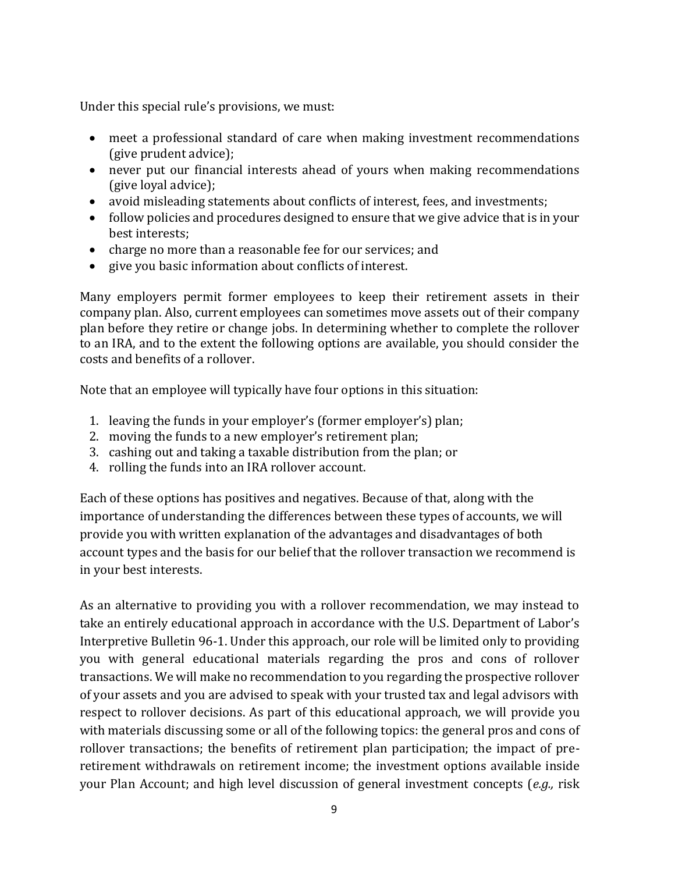Under this special rule's provisions, we must:

- meet a professional standard of care when making investment recommendations (give prudent advice);
- never put our financial interests ahead of yours when making recommendations (give loyal advice);
- avoid misleading statements about conflicts of interest, fees, and investments;
- follow policies and procedures designed to ensure that we give advice that is in your best interests;
- charge no more than a reasonable fee for our services; and
- give you basic information about conflicts of interest.

Many employers permit former employees to keep their retirement assets in their company plan. Also, current employees can sometimes move assets out of their company plan before they retire or change jobs. In determining whether to complete the rollover to an IRA, and to the extent the following options are available, you should consider the costs and benefits of a rollover.

Note that an employee will typically have four options in this situation:

- 1. leaving the funds in your employer's (former employer's) plan;
- 2. moving the funds to a new employer's retirement plan;
- 3. cashing out and taking a taxable distribution from the plan; or
- 4. rolling the funds into an IRA rollover account.

Each of these options has positives and negatives. Because of that, along with the importance of understanding the differences between these types of accounts, we will provide you with written explanation of the advantages and disadvantages of both account types and the basis for our belief that the rollover transaction we recommend is in your best interests.

As an alternative to providing you with a rollover recommendation, we may instead to take an entirely educational approach in accordance with the U.S. Department of Labor's Interpretive Bulletin 96-1. Under this approach, our role will be limited only to providing you with general educational materials regarding the pros and cons of rollover transactions. We will make no recommendation to you regarding the prospective rollover of your assets and you are advised to speak with your trusted tax and legal advisors with respect to rollover decisions. As part of this educational approach, we will provide you with materials discussing some or all of the following topics: the general pros and cons of rollover transactions; the benefits of retirement plan participation; the impact of preretirement withdrawals on retirement income; the investment options available inside your Plan Account; and high level discussion of general investment concepts (*e.g.,* risk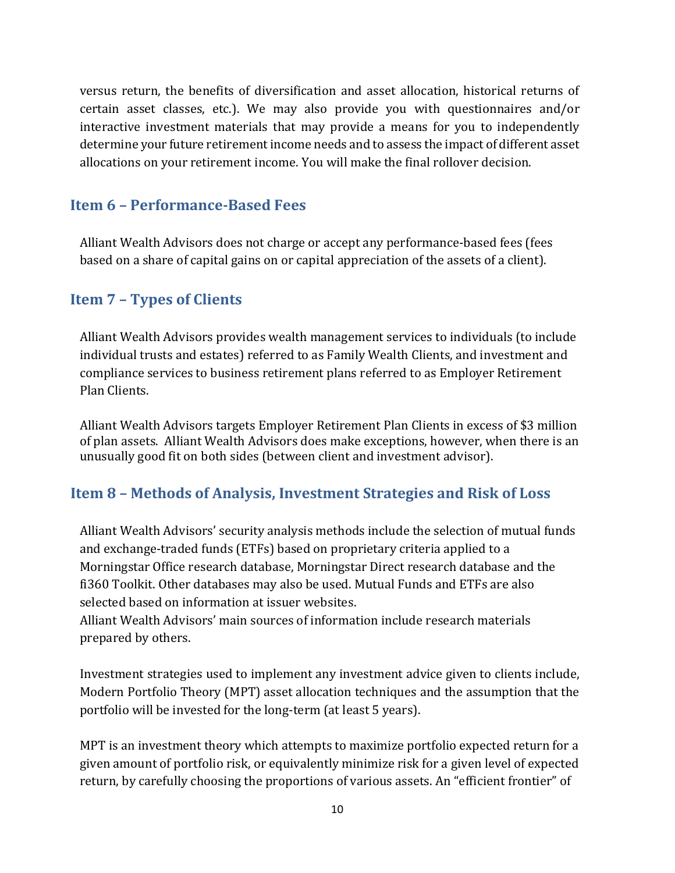versus return, the benefits of diversification and asset allocation, historical returns of certain asset classes, etc.). We may also provide you with questionnaires and/or interactive investment materials that may provide a means for you to independently determine your future retirement income needs and to assess the impact of different asset allocations on your retirement income. You will make the final rollover decision.

### <span id="page-9-0"></span>**Item 6 – Performance-Based Fees**

Alliant Wealth Advisors does not charge or accept any performance-based fees (fees based on a share of capital gains on or capital appreciation of the assets of a client).

#### <span id="page-9-1"></span>**Item 7 – Types of Clients**

Alliant Wealth Advisors provides wealth management services to individuals (to include individual trusts and estates) referred to as Family Wealth Clients, and investment and compliance services to business retirement plans referred to as Employer Retirement Plan Clients.

Alliant Wealth Advisors targets Employer Retirement Plan Clients in excess of \$3 million of plan assets. Alliant Wealth Advisors does make exceptions, however, when there is an unusually good fit on both sides (between client and investment advisor).

### <span id="page-9-2"></span>**Item 8 – Methods of Analysis, Investment Strategies and Risk of Loss**

Alliant Wealth Advisors' security analysis methods include the selection of mutual funds and exchange-traded funds (ETFs) based on proprietary criteria applied to a Morningstar Office research database, Morningstar Direct research database and the fi360 Toolkit. Other databases may also be used. Mutual Funds and ETFs are also selected based on information at issuer websites.

Alliant Wealth Advisors' main sources of information include research materials prepared by others.

Investment strategies used to implement any investment advice given to clients include, Modern Portfolio Theory (MPT) asset allocation techniques and the assumption that the portfolio will be invested for the long-term (at least 5 years).

MPT is an investment theory which attempts to maximize portfolio expected return for a given amount of portfolio risk, or equivalently minimize risk for a given level of expected return, by carefully choosing the proportions of various assets. An "efficient frontier" of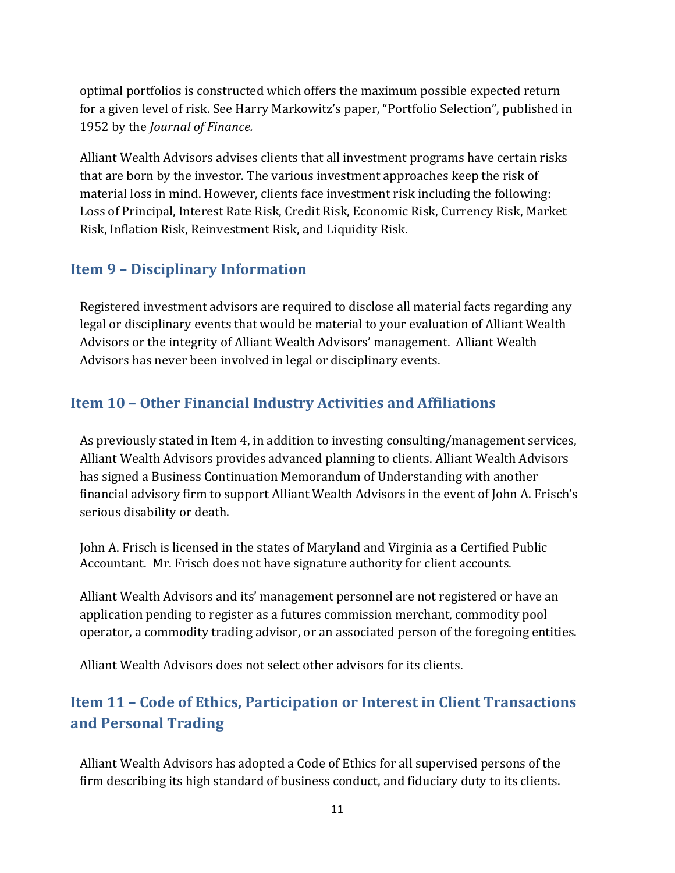optimal portfolios is constructed which offers the maximum possible expected return for a given level of risk. See Harry Markowitz's paper, "Portfolio Selection", published in 1952 by the *Journal of Finance.*

Alliant Wealth Advisors advises clients that all investment programs have certain risks that are born by the investor. The various investment approaches keep the risk of material loss in mind. However, clients face investment risk including the following: Loss of Principal, Interest Rate Risk, Credit Risk, Economic Risk, Currency Risk, Market Risk, Inflation Risk, Reinvestment Risk, and Liquidity Risk.

### <span id="page-10-0"></span>**Item 9 – Disciplinary Information**

Registered investment advisors are required to disclose all material facts regarding any legal or disciplinary events that would be material to your evaluation of Alliant Wealth Advisors or the integrity of Alliant Wealth Advisors' management. Alliant Wealth Advisors has never been involved in legal or disciplinary events.

### <span id="page-10-1"></span>**Item 10 – Other Financial Industry Activities and Affiliations**

As previously stated in Item 4, in addition to investing consulting/management services, Alliant Wealth Advisors provides advanced planning to clients. Alliant Wealth Advisors has signed a Business Continuation Memorandum of Understanding with another financial advisory firm to support Alliant Wealth Advisors in the event of John A. Frisch's serious disability or death.

John A. Frisch is licensed in the states of Maryland and Virginia as a Certified Public Accountant. Mr. Frisch does not have signature authority for client accounts.

Alliant Wealth Advisors and its' management personnel are not registered or have an application pending to register as a futures commission merchant, commodity pool operator, a commodity trading advisor, or an associated person of the foregoing entities.

Alliant Wealth Advisors does not select other advisors for its clients.

# <span id="page-10-2"></span>**Item 11 – Code of Ethics, Participation or Interest in Client Transactions and Personal Trading**

Alliant Wealth Advisors has adopted a Code of Ethics for all supervised persons of the firm describing its high standard of business conduct, and fiduciary duty to its clients.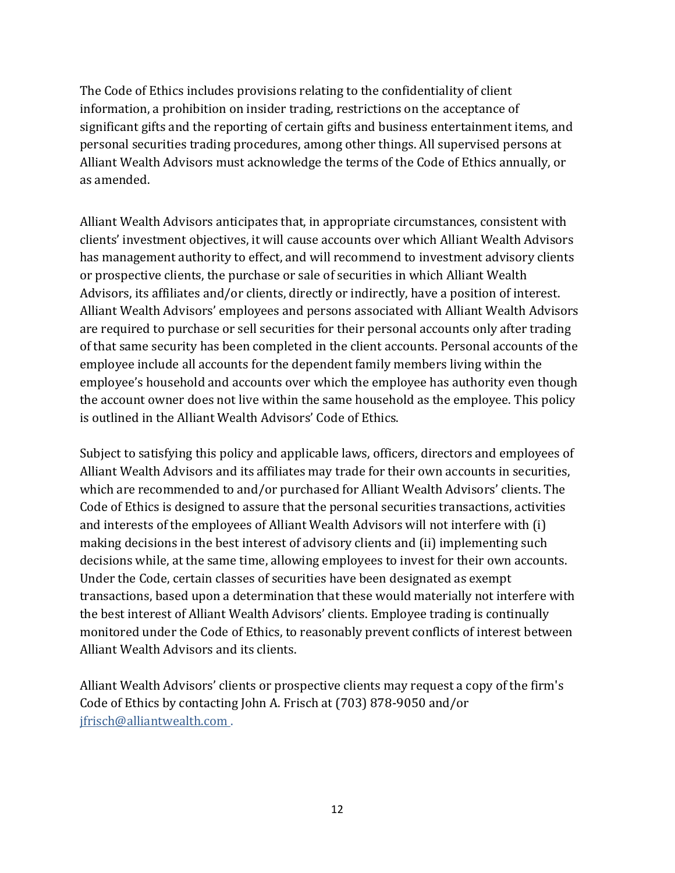The Code of Ethics includes provisions relating to the confidentiality of client information, a prohibition on insider trading, restrictions on the acceptance of significant gifts and the reporting of certain gifts and business entertainment items, and personal securities trading procedures, among other things. All supervised persons at Alliant Wealth Advisors must acknowledge the terms of the Code of Ethics annually, or as amended.

Alliant Wealth Advisors anticipates that, in appropriate circumstances, consistent with clients' investment objectives, it will cause accounts over which Alliant Wealth Advisors has management authority to effect, and will recommend to investment advisory clients or prospective clients, the purchase or sale of securities in which Alliant Wealth Advisors, its affiliates and/or clients, directly or indirectly, have a position of interest. Alliant Wealth Advisors' employees and persons associated with Alliant Wealth Advisors are required to purchase or sell securities for their personal accounts only after trading of that same security has been completed in the client accounts. Personal accounts of the employee include all accounts for the dependent family members living within the employee's household and accounts over which the employee has authority even though the account owner does not live within the same household as the employee. This policy is outlined in the Alliant Wealth Advisors' Code of Ethics.

Subject to satisfying this policy and applicable laws, officers, directors and employees of Alliant Wealth Advisors and its affiliates may trade for their own accounts in securities, which are recommended to and/or purchased for Alliant Wealth Advisors' clients. The Code of Ethics is designed to assure that the personal securities transactions, activities and interests of the employees of Alliant Wealth Advisors will not interfere with (i) making decisions in the best interest of advisory clients and (ii) implementing such decisions while, at the same time, allowing employees to invest for their own accounts. Under the Code, certain classes of securities have been designated as exempt transactions, based upon a determination that these would materially not interfere with the best interest of Alliant Wealth Advisors' clients. Employee trading is continually monitored under the Code of Ethics, to reasonably prevent conflicts of interest between Alliant Wealth Advisors and its clients.

Alliant Wealth Advisors' clients or prospective clients may request a copy of the firm's Code of Ethics by contacting John A. Frisch at (703) 878-9050 and/or [jfrisch@alliantwealth.com .](mailto:jfrisch@alliantwealth.com)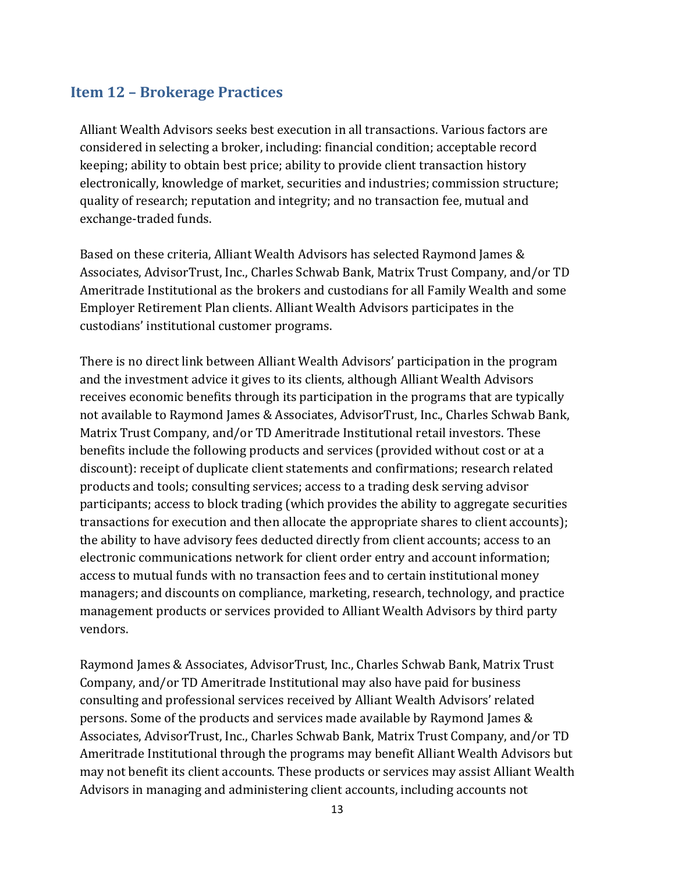### <span id="page-12-0"></span>**Item 12 – Brokerage Practices**

Alliant Wealth Advisors seeks best execution in all transactions. Various factors are considered in selecting a broker, including: financial condition; acceptable record keeping; ability to obtain best price; ability to provide client transaction history electronically, knowledge of market, securities and industries; commission structure; quality of research; reputation and integrity; and no transaction fee, mutual and exchange-traded funds.

Based on these criteria, Alliant Wealth Advisors has selected Raymond James & Associates, AdvisorTrust, Inc., Charles Schwab Bank, Matrix Trust Company, and/or TD Ameritrade Institutional as the brokers and custodians for all Family Wealth and some Employer Retirement Plan clients. Alliant Wealth Advisors participates in the custodians' institutional customer programs.

There is no direct link between Alliant Wealth Advisors' participation in the program and the investment advice it gives to its clients, although Alliant Wealth Advisors receives economic benefits through its participation in the programs that are typically not available to Raymond James & Associates, AdvisorTrust, Inc., Charles Schwab Bank, Matrix Trust Company, and/or TD Ameritrade Institutional retail investors. These benefits include the following products and services (provided without cost or at a discount): receipt of duplicate client statements and confirmations; research related products and tools; consulting services; access to a trading desk serving advisor participants; access to block trading (which provides the ability to aggregate securities transactions for execution and then allocate the appropriate shares to client accounts); the ability to have advisory fees deducted directly from client accounts; access to an electronic communications network for client order entry and account information; access to mutual funds with no transaction fees and to certain institutional money managers; and discounts on compliance, marketing, research, technology, and practice management products or services provided to Alliant Wealth Advisors by third party vendors.

Raymond James & Associates, AdvisorTrust, Inc., Charles Schwab Bank, Matrix Trust Company, and/or TD Ameritrade Institutional may also have paid for business consulting and professional services received by Alliant Wealth Advisors' related persons. Some of the products and services made available by Raymond James & Associates, AdvisorTrust, Inc., Charles Schwab Bank, Matrix Trust Company, and/or TD Ameritrade Institutional through the programs may benefit Alliant Wealth Advisors but may not benefit its client accounts. These products or services may assist Alliant Wealth Advisors in managing and administering client accounts, including accounts not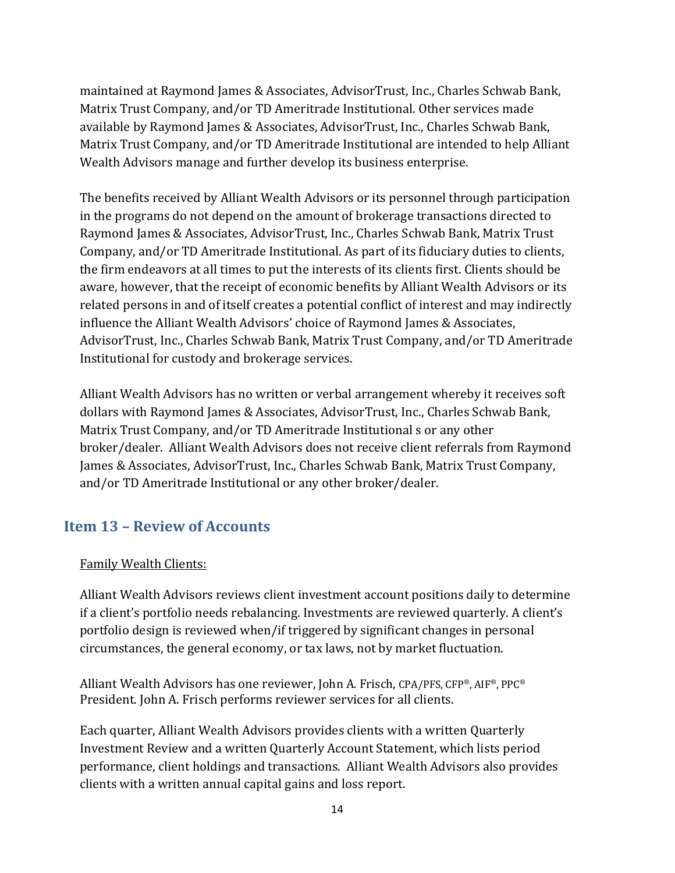maintained at Raymond James & Associates, AdvisorTrust, Inc., Charles Schwab Bank, Matrix Trust Company, and/or TD Ameritrade Institutional. Other services made available by Raymond James & Associates, AdvisorTrust, Inc., Charles Schwab Bank, Matrix Trust Company, and/or TD Ameritrade Institutional are intended to help Alliant Wealth Advisors manage and further develop its business enterprise.

The benefits received by Alliant Wealth Advisors or its personnel through participation in the programs do not depend on the amount of brokerage transactions directed to Raymond James & Associates, AdvisorTrust, Inc., Charles Schwab Bank, Matrix Trust Company, and/or TD Ameritrade Institutional. As part of its fiduciary duties to clients, the firm endeavors at all times to put the interests of its clients first. Clients should be aware, however, that the receipt of economic benefits by Alliant Wealth Advisors or its related persons in and of itself creates a potential conflict of interest and may indirectly influence the Alliant Wealth Advisors' choice of Raymond James & Associates, AdvisorTrust, Inc., Charles Schwab Bank, Matrix Trust Company, and/or TD Ameritrade Institutional for custody and brokerage services.

Alliant Wealth Advisors has no written or verbal arrangement whereby it receives soft dollars with Raymond James & Associates, AdvisorTrust, Inc., Charles Schwab Bank, Matrix Trust Company, and/or TD Ameritrade Institutional s or any other broker/dealer. Alliant Wealth Advisors does not receive client referrals from Raymond James & Associates, AdvisorTrust, Inc., Charles Schwab Bank, Matrix Trust Company, and/or TD Ameritrade Institutional or any other broker/dealer.

### <span id="page-13-0"></span>**Item 13 – Review of Accounts**

#### Family Wealth Clients:

Alliant Wealth Advisors reviews client investment account positions daily to determine if a client's portfolio needs rebalancing. Investments are reviewed quarterly. A client's portfolio design is reviewed when/if triggered by significant changes in personal circumstances, the general economy, or tax laws, not by market fluctuation.

Alliant Wealth Advisors has one reviewer, John A. Frisch, CPA/PFS, CFP®, AIF®, PPC® President. John A. Frisch performs reviewer services for all clients.

Each quarter, Alliant Wealth Advisors provides clients with a written Quarterly Investment Review and a written Quarterly Account Statement, which lists period performance, client holdings and transactions. Alliant Wealth Advisors also provides clients with a written annual capital gains and loss report.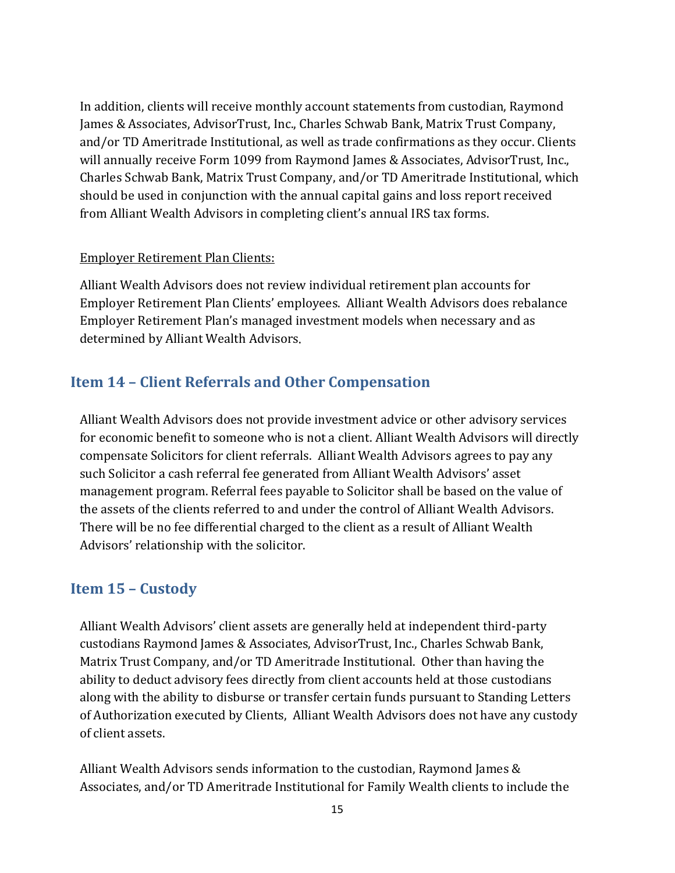In addition, clients will receive monthly account statements from custodian, Raymond James & Associates, AdvisorTrust, Inc., Charles Schwab Bank, Matrix Trust Company, and/or TD Ameritrade Institutional, as well as trade confirmations as they occur. Clients will annually receive Form 1099 from Raymond James & Associates, AdvisorTrust, Inc., Charles Schwab Bank, Matrix Trust Company, and/or TD Ameritrade Institutional, which should be used in conjunction with the annual capital gains and loss report received from Alliant Wealth Advisors in completing client's annual IRS tax forms.

#### Employer Retirement Plan Clients:

Alliant Wealth Advisors does not review individual retirement plan accounts for Employer Retirement Plan Clients' employees. Alliant Wealth Advisors does rebalance Employer Retirement Plan's managed investment models when necessary and as determined by Alliant Wealth Advisors.

### <span id="page-14-0"></span>**Item 14 – Client Referrals and Other Compensation**

Alliant Wealth Advisors does not provide investment advice or other advisory services for economic benefit to someone who is not a client. Alliant Wealth Advisors will directly compensate Solicitors for client referrals. Alliant Wealth Advisors agrees to pay any such Solicitor a cash referral fee generated from Alliant Wealth Advisors' asset management program. Referral fees payable to Solicitor shall be based on the value of the assets of the clients referred to and under the control of Alliant Wealth Advisors. There will be no fee differential charged to the client as a result of Alliant Wealth Advisors' relationship with the solicitor.

#### <span id="page-14-1"></span>**Item 15 – Custody**

Alliant Wealth Advisors' client assets are generally held at independent third-party custodians Raymond James & Associates, AdvisorTrust, Inc., Charles Schwab Bank, Matrix Trust Company, and/or TD Ameritrade Institutional. Other than having the ability to deduct advisory fees directly from client accounts held at those custodians along with the ability to disburse or transfer certain funds pursuant to Standing Letters of Authorization executed by Clients, Alliant Wealth Advisors does not have any custody of client assets.

Alliant Wealth Advisors sends information to the custodian, Raymond James & Associates, and/or TD Ameritrade Institutional for Family Wealth clients to include the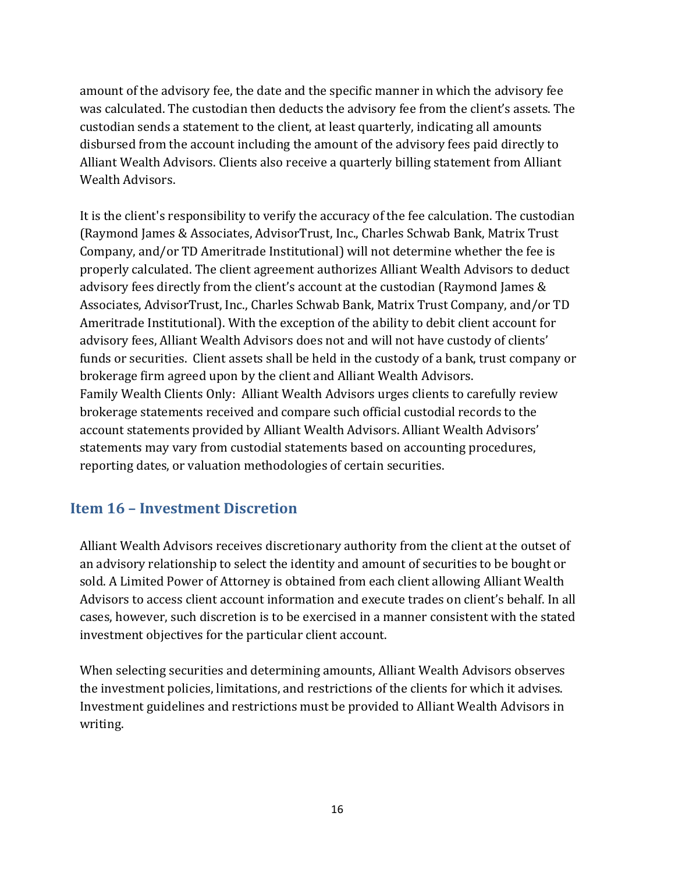amount of the advisory fee, the date and the specific manner in which the advisory fee was calculated. The custodian then deducts the advisory fee from the client's assets. The custodian sends a statement to the client, at least quarterly, indicating all amounts disbursed from the account including the amount of the advisory fees paid directly to Alliant Wealth Advisors. Clients also receive a quarterly billing statement from Alliant Wealth Advisors.

It is the client's responsibility to verify the accuracy of the fee calculation. The custodian (Raymond James & Associates, AdvisorTrust, Inc., Charles Schwab Bank, Matrix Trust Company, and/or TD Ameritrade Institutional) will not determine whether the fee is properly calculated. The client agreement authorizes Alliant Wealth Advisors to deduct advisory fees directly from the client's account at the custodian (Raymond James & Associates, AdvisorTrust, Inc., Charles Schwab Bank, Matrix Trust Company, and/or TD Ameritrade Institutional). With the exception of the ability to debit client account for advisory fees, Alliant Wealth Advisors does not and will not have custody of clients' funds or securities. Client assets shall be held in the custody of a bank, trust company or brokerage firm agreed upon by the client and Alliant Wealth Advisors. Family Wealth Clients Only: Alliant Wealth Advisors urges clients to carefully review brokerage statements received and compare such official custodial records to the account statements provided by Alliant Wealth Advisors. Alliant Wealth Advisors' statements may vary from custodial statements based on accounting procedures, reporting dates, or valuation methodologies of certain securities.

### <span id="page-15-0"></span>**Item 16 – Investment Discretion**

Alliant Wealth Advisors receives discretionary authority from the client at the outset of an advisory relationship to select the identity and amount of securities to be bought or sold. A Limited Power of Attorney is obtained from each client allowing Alliant Wealth Advisors to access client account information and execute trades on client's behalf. In all cases, however, such discretion is to be exercised in a manner consistent with the stated investment objectives for the particular client account.

<span id="page-15-1"></span>When selecting securities and determining amounts, Alliant Wealth Advisors observes the investment policies, limitations, and restrictions of the clients for which it advises. Investment guidelines and restrictions must be provided to Alliant Wealth Advisors in writing.